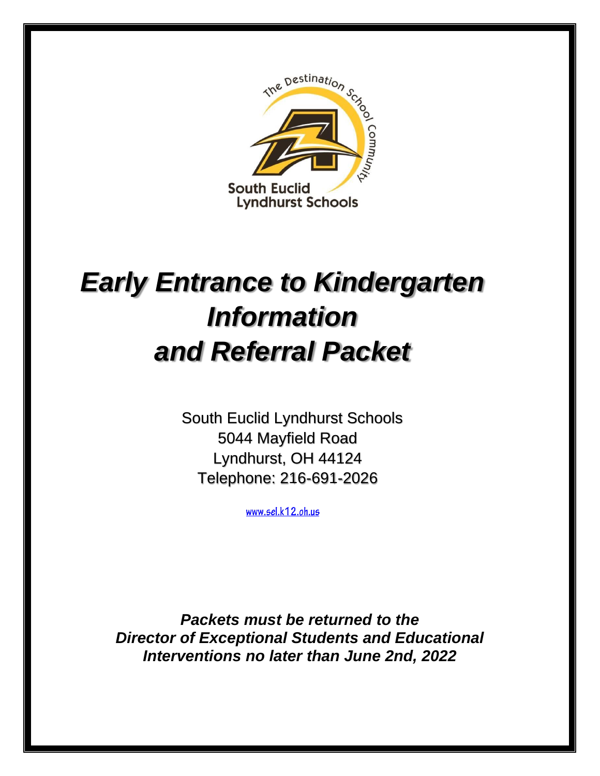

# *Early Entrance to Kindergarten Information and Referral Packet*

 South Euclid Lyndhurst Schools 5044 Mayfield Road Lyndhurst, OH 44124 Telephone: 216-691-2026

www.sel.k12.oh.us

*Packets must be returned to the Director of Exceptional Students and Educational Interventions no later than June 2nd, 2022*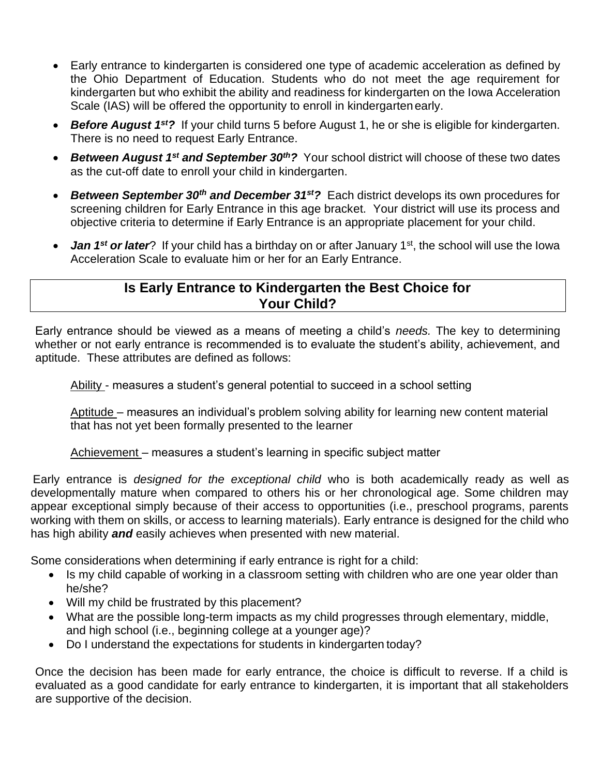- Early entrance to kindergarten is considered one type of academic acceleration as defined by the Ohio Department of Education. Students who do not meet the age requirement for kindergarten but who exhibit the ability and readiness for kindergarten on the Iowa Acceleration Scale (IAS) will be offered the opportunity to enroll in kindergarten early.
- *Before August 1st?* If your child turns 5 before August 1, he or she is eligible for kindergarten. There is no need to request Early Entrance.
- *Between August 1st and September 30th?* Your school district will choose of these two dates as the cut-off date to enroll your child in kindergarten.
- *Between September 30th and December 31st?* Each district develops its own procedures for screening children for Early Entrance in this age bracket. Your district will use its process and objective criteria to determine if Early Entrance is an appropriate placement for your child.
- **Jan 1<sup>st</sup> or later**? If your child has a birthday on or after January 1<sup>st</sup>, the school will use the Iowa Acceleration Scale to evaluate him or her for an Early Entrance.

# **Is Early Entrance to Kindergarten the Best Choice for Your Child?**

Early entrance should be viewed as a means of meeting a child's *needs.* The key to determining whether or not early entrance is recommended is to evaluate the student's ability, achievement, and aptitude. These attributes are defined as follows:

Ability - measures a student's general potential to succeed in a school setting

Aptitude – measures an individual's problem solving ability for learning new content material that has not yet been formally presented to the learner

Achievement – measures a student's learning in specific subject matter

Early entrance is *designed for the exceptional child* who is both academically ready as well as developmentally mature when compared to others his or her chronological age. Some children may appear exceptional simply because of their access to opportunities (i.e., preschool programs, parents working with them on skills, or access to learning materials). Early entrance is designed for the child who has high ability *and* easily achieves when presented with new material.

Some considerations when determining if early entrance is right for a child:

- Is my child capable of working in a classroom setting with children who are one year older than he/she?
- Will my child be frustrated by this placement?
- What are the possible long-term impacts as my child progresses through elementary, middle, and high school (i.e., beginning college at a younger age)?
- Do I understand the expectations for students in kindergarten today?

Once the decision has been made for early entrance, the choice is difficult to reverse. If a child is evaluated as a good candidate for early entrance to kindergarten, it is important that all stakeholders are supportive of the decision.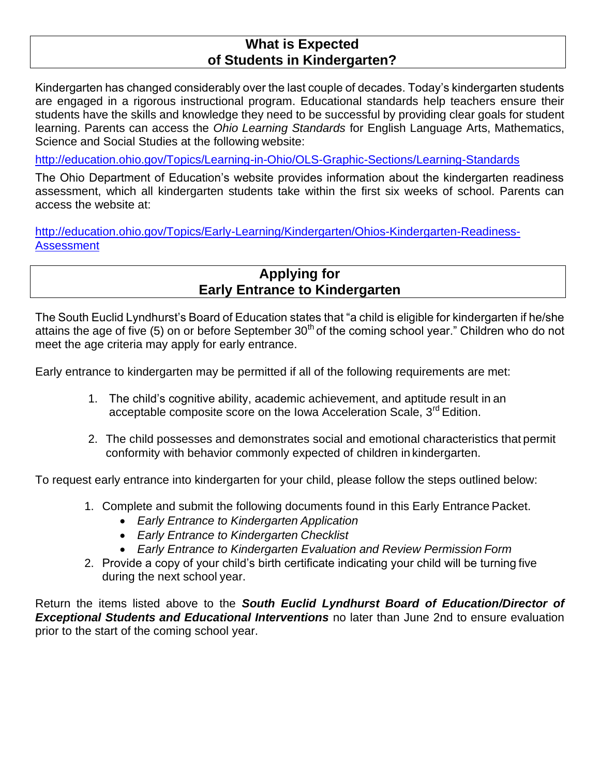## **What is Expected of Students in Kindergarten?**

Kindergarten has changed considerably over the last couple of decades. Today's kindergarten students are engaged in a rigorous instructional program. Educational standards help teachers ensure their students have the skills and knowledge they need to be successful by providing clear goals for student learning. Parents can access the *Ohio Learning Standards* for English Language Arts, Mathematics, Science and Social Studies at the following website:

<http://education.ohio.gov/Topics/Learning-in-Ohio/OLS-Graphic-Sections/Learning-Standards>

The Ohio Department of Education's website provides information about the kindergarten readiness assessment, which all kindergarten students take within the first six weeks of school. Parents can access the website at:

[http://education.ohio.gov/Topics/Early-Learning/Kindergarten/Ohios-Kindergarten-Readiness-](http://education.ohio.gov/Topics/Early-Learning/Kindergarten/Ohios-Kindergarten-Readiness-Assessment)**[Assessment](http://education.ohio.gov/Topics/Early-Learning/Kindergarten/Ohios-Kindergarten-Readiness-Assessment)** 

# **Applying for Early Entrance to Kindergarten**

The South Euclid Lyndhurst's Board of Education states that "a child is eligible for kindergarten if he/she attains the age of five (5) on or before September  $30<sup>th</sup>$  of the coming school year." Children who do not meet the age criteria may apply for early entrance.

Early entrance to kindergarten may be permitted if all of the following requirements are met:

- 1. The child's cognitive ability, academic achievement, and aptitude result in an acceptable composite score on the Iowa Acceleration Scale, 3<sup>rd</sup> Edition.
- 2. The child possesses and demonstrates social and emotional characteristics that permit conformity with behavior commonly expected of children in kindergarten.

To request early entrance into kindergarten for your child, please follow the steps outlined below:

- 1. Complete and submit the following documents found in this Early Entrance Packet.
	- *Early Entrance to Kindergarten Application*
	- *Early Entrance to Kindergarten Checklist*
	- *Early Entrance to Kindergarten Evaluation and Review Permission Form*
- 2. Provide a copy of your child's birth certificate indicating your child will be turning five during the next school year.

Return the items listed above to the *South Euclid Lyndhurst Board of Education/Director of Exceptional Students and Educational Interventions* no later than June 2nd to ensure evaluation prior to the start of the coming school year.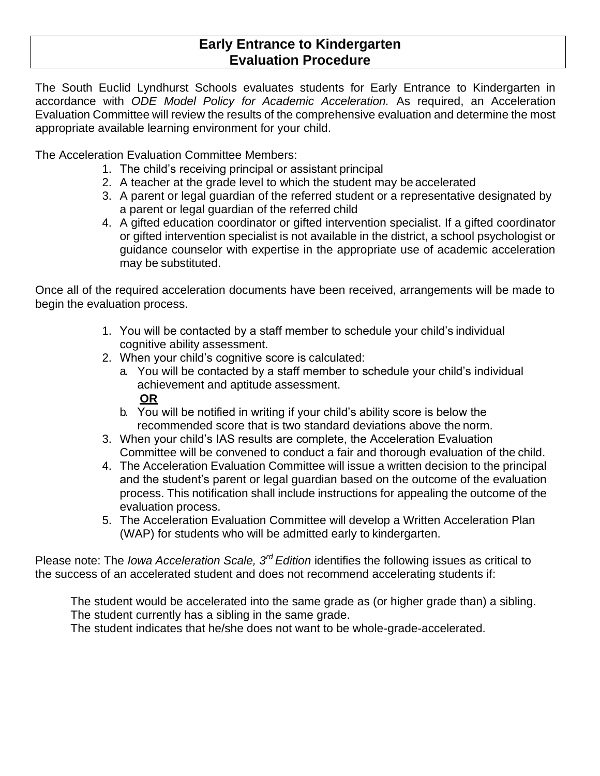#### **Early Entrance to Kindergarten Evaluation Procedure**

The South Euclid Lyndhurst Schools evaluates students for Early Entrance to Kindergarten in accordance with *ODE Model Policy for Academic Acceleration.* As required, an Acceleration Evaluation Committee will review the results of the comprehensive evaluation and determine the most appropriate available learning environment for your child.

The Acceleration Evaluation Committee Members:

- 1. The child's receiving principal or assistant principal
- 2. A teacher at the grade level to which the student may be accelerated
- 3. A parent or legal guardian of the referred student or a representative designated by a parent or legal guardian of the referred child
- 4. A gifted education coordinator or gifted intervention specialist. If a gifted coordinator or gifted intervention specialist is not available in the district, a school psychologist or guidance counselor with expertise in the appropriate use of academic acceleration may be substituted.

Once all of the required acceleration documents have been received, arrangements will be made to begin the evaluation process.

- 1. You will be contacted by a staff member to schedule your child's individual cognitive ability assessment.
- 2. When your child's cognitive score is calculated:
	- a. You will be contacted by a staff member to schedule your child's individual achievement and aptitude assessment.

#### **OR**

- b. You will be notified in writing if your child's ability score is below the recommended score that is two standard deviations above the norm.
- 3. When your child's IAS results are complete, the Acceleration Evaluation Committee will be convened to conduct a fair and thorough evaluation of the child.
- 4. The Acceleration Evaluation Committee will issue a written decision to the principal and the student's parent or legal guardian based on the outcome of the evaluation process. This notification shall include instructions for appealing the outcome of the evaluation process.
- 5. The Acceleration Evaluation Committee will develop a Written Acceleration Plan (WAP) for students who will be admitted early to kindergarten.

Please note: The *Iowa Acceleration Scale, 3rd Edition* identifies the following issues as critical to the success of an accelerated student and does not recommend accelerating students if:

The student would be accelerated into the same grade as (or higher grade than) a sibling. The student currently has a sibling in the same grade.

The student indicates that he/she does not want to be whole-grade-accelerated.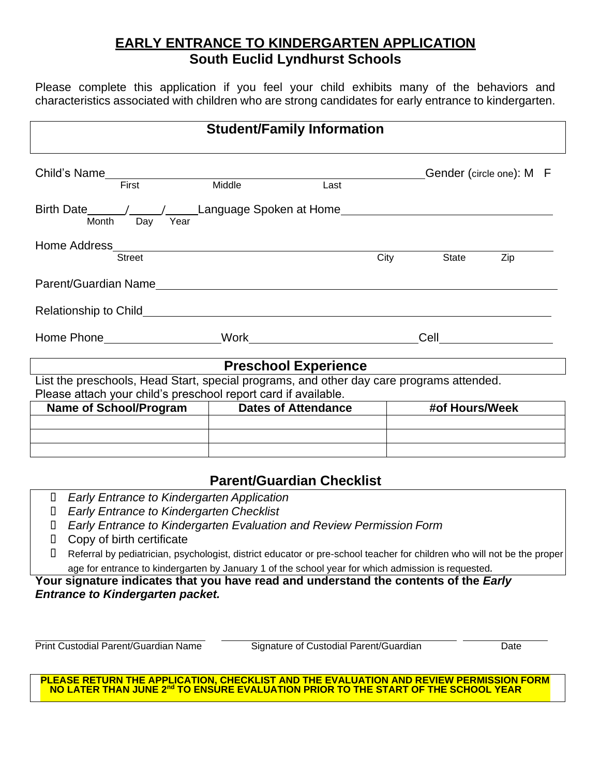# **EARLY ENTRANCE TO KINDERGARTEN APPLICATION South Euclid Lyndhurst Schools**

Please complete this application if you feel your child exhibits many of the behaviors and characteristics associated with children who are strong candidates for early entrance to kindergarten.

| <b>Student/Family Information</b>                                                                                                                          |                                  |      |      |                          |     |  |  |
|------------------------------------------------------------------------------------------------------------------------------------------------------------|----------------------------------|------|------|--------------------------|-----|--|--|
| Child's Name                                                                                                                                               |                                  |      |      | Gender (circle one): M F |     |  |  |
| First                                                                                                                                                      | Middle                           | Last |      |                          |     |  |  |
| Day<br>Year<br>Month                                                                                                                                       |                                  |      |      |                          |     |  |  |
|                                                                                                                                                            |                                  |      |      |                          |     |  |  |
| <b>Street</b>                                                                                                                                              |                                  |      | City | <b>State</b>             | Zip |  |  |
| Parent/Guardian Name                                                                                                                                       |                                  |      |      |                          |     |  |  |
|                                                                                                                                                            |                                  |      |      |                          |     |  |  |
|                                                                                                                                                            |                                  |      |      | Cell                     |     |  |  |
| <b>Preschool Experience</b>                                                                                                                                |                                  |      |      |                          |     |  |  |
| List the preschools, Head Start, special programs, and other day care programs attended.<br>Please attach your child's preschool report card if available. |                                  |      |      |                          |     |  |  |
| Name of School/Program   Dates of Attendance                                                                                                               |                                  |      |      | #of Hours/Week           |     |  |  |
|                                                                                                                                                            |                                  |      |      |                          |     |  |  |
|                                                                                                                                                            |                                  |      |      |                          |     |  |  |
|                                                                                                                                                            |                                  |      |      |                          |     |  |  |
|                                                                                                                                                            | <b>Parent/Guardian Checklist</b> |      |      |                          |     |  |  |
| $\Box$<br><b>Early Entrance to Kindergarten Application</b>                                                                                                |                                  |      |      |                          |     |  |  |

- *Early Entrance to Kindergarten Checklist*
- *Early Entrance to Kindergarten Evaluation and Review Permission Form*
- Copy of birth certificate
- Referral by pediatrician, psychologist, district educator or pre-school teacher for children who will not be the proper age for entrance to kindergarten by January 1 of the school year for which admission is requested*.*

**Your signature indicates that you have read and understand the contents of the** *Early Entrance to Kindergarten packet.*

Print Custodial Parent/Guardian Name Signature of Custodial Parent/Guardian Date

**PLEASE RETURN THE APPLICATION, CHECKLIST AND THE EVALUATION AND REVIEW PERMISSION FORM NO LATER THAN JUNE 2 nd TO ENSURE EVALUATION PRIOR TO THE START OF THE SCHOOL YEAR**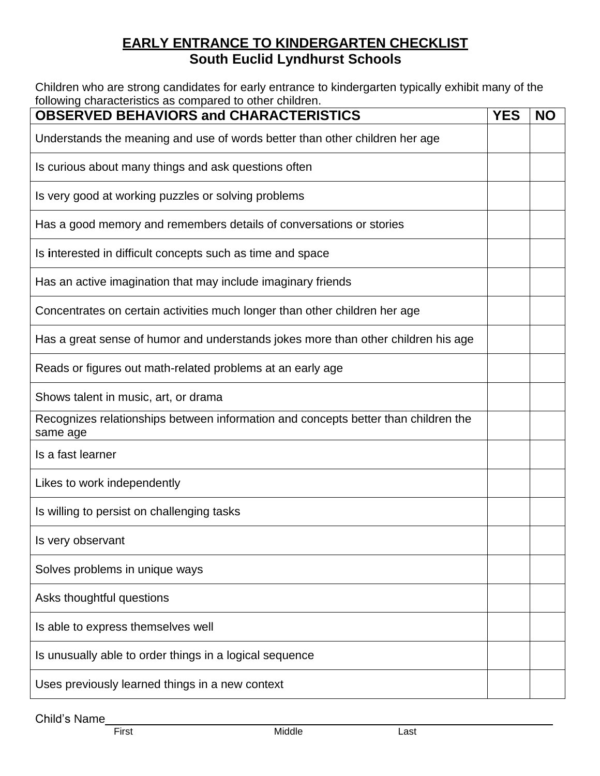# **EARLY ENTRANCE TO KINDERGARTEN CHECKLIST South Euclid Lyndhurst Schools**

Children who are strong candidates for early entrance to kindergarten typically exhibit many of the following characteristics as compared to other children.

| ioliowing characteristics as compared to other criliarent<br><b>OBSERVED BEHAVIORS and CHARACTERISTICS</b> | <b>YES</b> | <b>NO</b> |  |  |
|------------------------------------------------------------------------------------------------------------|------------|-----------|--|--|
| Understands the meaning and use of words better than other children her age                                |            |           |  |  |
| Is curious about many things and ask questions often                                                       |            |           |  |  |
| Is very good at working puzzles or solving problems                                                        |            |           |  |  |
| Has a good memory and remembers details of conversations or stories                                        |            |           |  |  |
| Is interested in difficult concepts such as time and space                                                 |            |           |  |  |
| Has an active imagination that may include imaginary friends                                               |            |           |  |  |
| Concentrates on certain activities much longer than other children her age                                 |            |           |  |  |
| Has a great sense of humor and understands jokes more than other children his age                          |            |           |  |  |
| Reads or figures out math-related problems at an early age                                                 |            |           |  |  |
| Shows talent in music, art, or drama                                                                       |            |           |  |  |
| Recognizes relationships between information and concepts better than children the<br>same age             |            |           |  |  |
| Is a fast learner                                                                                          |            |           |  |  |
| Likes to work independently                                                                                |            |           |  |  |
| Is willing to persist on challenging tasks                                                                 |            |           |  |  |
| Is very observant                                                                                          |            |           |  |  |
| Solves problems in unique ways                                                                             |            |           |  |  |
| Asks thoughtful questions                                                                                  |            |           |  |  |
| Is able to express themselves well                                                                         |            |           |  |  |
| Is unusually able to order things in a logical sequence                                                    |            |           |  |  |
| Uses previously learned things in a new context                                                            |            |           |  |  |